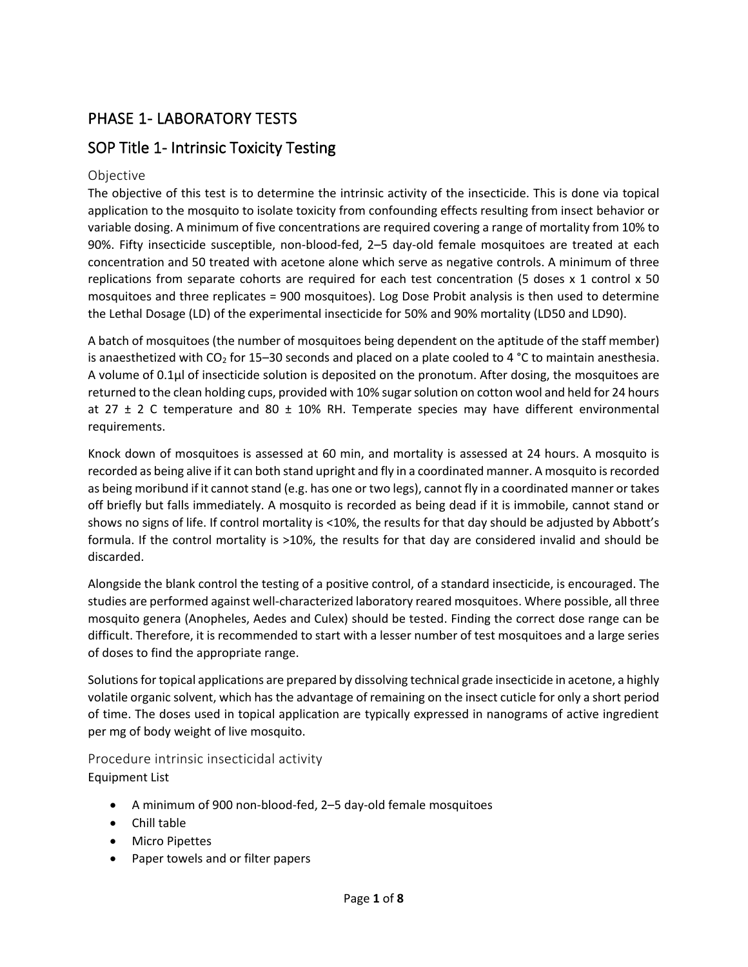# PHASE 1- LABORATORY TESTS

## SOP Title 1- Intrinsic Toxicity Testing

### Objective

The objective of this test is to determine the intrinsic activity of the insecticide. This is done via topical application to the mosquito to isolate toxicity from confounding effects resulting from insect behavior or variable dosing. A minimum of five concentrations are required covering a range of mortality from 10% to 90%. Fifty insecticide susceptible, non-blood-fed, 2–5 day-old female mosquitoes are treated at each concentration and 50 treated with acetone alone which serve as negative controls. A minimum of three replications from separate cohorts are required for each test concentration (5 doses  $x$  1 control  $x$  50 mosquitoes and three replicates = 900 mosquitoes). Log Dose Probit analysis is then used to determine the Lethal Dosage (LD) of the experimental insecticide for 50% and 90% mortality (LD50 and LD90).

A batch of mosquitoes (the number of mosquitoes being dependent on the aptitude of the staff member) is anaesthetized with  $CO<sub>2</sub>$  for 15–30 seconds and placed on a plate cooled to 4 °C to maintain anesthesia. A volume of 0.1µl of insecticide solution is deposited on the pronotum. After dosing, the mosquitoes are returned to the clean holding cups, provided with 10% sugar solution on cotton wool and held for 24 hours at 27  $\pm$  2 C temperature and 80  $\pm$  10% RH. Temperate species may have different environmental requirements.

Knock down of mosquitoes is assessed at 60 min, and mortality is assessed at 24 hours. A mosquito is recorded as being alive if it can both stand upright and fly in a coordinated manner. A mosquito is recorded as being moribund if it cannot stand (e.g. has one or two legs), cannot fly in a coordinated manner or takes off briefly but falls immediately. A mosquito is recorded as being dead if it is immobile, cannot stand or shows no signs of life. If control mortality is <10%, the results for that day should be adjusted by Abbott's formula. If the control mortality is >10%, the results for that day are considered invalid and should be discarded.

Alongside the blank control the testing of a positive control, of a standard insecticide, is encouraged. The studies are performed against well-characterized laboratory reared mosquitoes. Where possible, all three mosquito genera (Anopheles, Aedes and Culex) should be tested. Finding the correct dose range can be difficult. Therefore, it is recommended to start with a lesser number of test mosquitoes and a large series of doses to find the appropriate range.

Solutions for topical applications are prepared by dissolving technical grade insecticide in acetone, a highly volatile organic solvent, which has the advantage of remaining on the insect cuticle for only a short period of time. The doses used in topical application are typically expressed in nanograms of active ingredient per mg of body weight of live mosquito.

Procedure intrinsic insecticidal activity Equipment List

- A minimum of 900 non-blood-fed, 2–5 day-old female mosquitoes
- Chill table
- Micro Pipettes
- Paper towels and or filter papers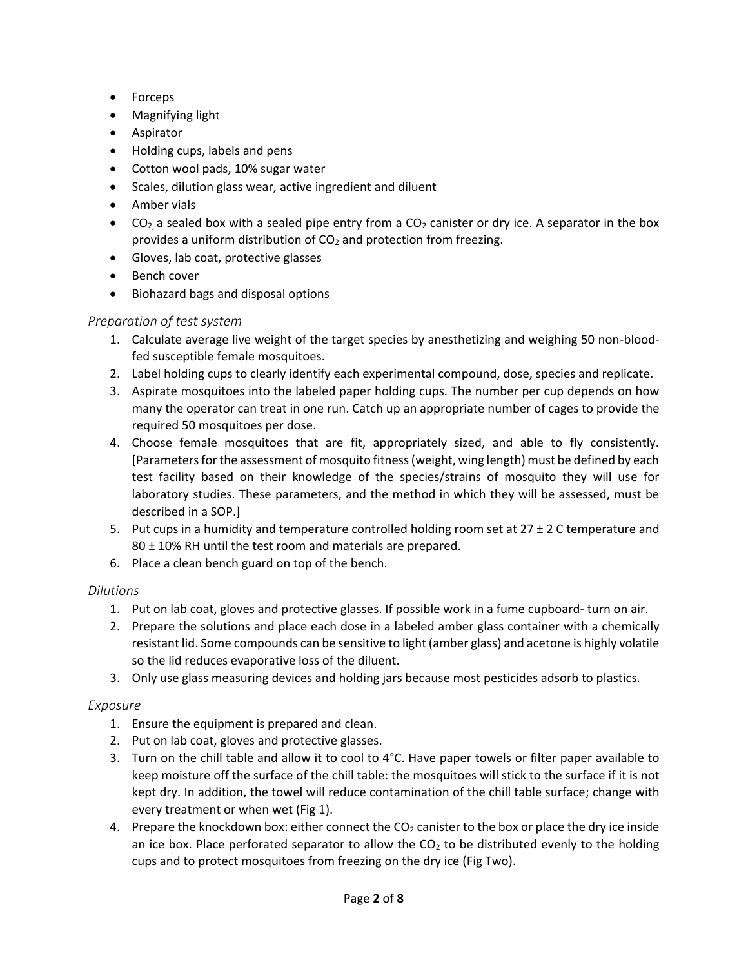- Forceps
- Magnifying light
- Aspirator
- Holding cups, labels and pens
- Cotton wool pads, 10% sugar water
- Scales, dilution glass wear, active ingredient and diluent
- Amber vials
- CO<sub>2</sub>, a sealed box with a sealed pipe entry from a CO<sub>2</sub> canister or dry ice. A separator in the box provides a uniform distribution of  $CO<sub>2</sub>$  and protection from freezing.
- Gloves, lab coat, protective glasses
- Bench cover
- Biohazard bags and disposal options

## *Preparation of test system*

- 1. Calculate average live weight of the target species by anesthetizing and weighing 50 non-bloodfed susceptible female mosquitoes.
- 2. Label holding cups to clearly identify each experimental compound, dose, species and replicate.
- 3. Aspirate mosquitoes into the labeled paper holding cups. The number per cup depends on how many the operator can treat in one run. Catch up an appropriate number of cages to provide the required 50 mosquitoes per dose.
- 4. Choose female mosquitoes that are fit, appropriately sized, and able to fly consistently. [Parameters for the assessment of mosquito fitness (weight, wing length) must be defined by each test facility based on their knowledge of the species/strains of mosquito they will use for laboratory studies. These parameters, and the method in which they will be assessed, must be described in a SOP.]
- 5. Put cups in a humidity and temperature controlled holding room set at  $27 \pm 2$  C temperature and 80 ± 10% RH until the test room and materials are prepared.
- 6. Place a clean bench guard on top of the bench.

## *Dilutions*

- 1. Put on lab coat, gloves and protective glasses. If possible work in a fume cupboard- turn on air.
- 2. Prepare the solutions and place each dose in a labeled amber glass container with a chemically resistant lid. Some compounds can be sensitive to light (amber glass) and acetone is highly volatile so the lid reduces evaporative loss of the diluent.
- 3. Only use glass measuring devices and holding jars because most pesticides adsorb to plastics.

## *Exposure*

- 1. Ensure the equipment is prepared and clean.
- 2. Put on lab coat, gloves and protective glasses.
- 3. Turn on the chill table and allow it to cool to  $4^{\circ}$ C. Have paper towels or filter paper available to keep moisture off the surface of the chill table: the mosquitoes will stick to the surface if it is not kept dry. In addition, the towel will reduce contamination of the chill table surface; change with every treatment or when wet (Fig 1).
- 4. Prepare the knockdown box: either connect the  $CO<sub>2</sub>$  canister to the box or place the dry ice inside an ice box. Place perforated separator to allow the  $CO<sub>2</sub>$  to be distributed evenly to the holding cups and to protect mosquitoes from freezing on the dry ice (Fig Two).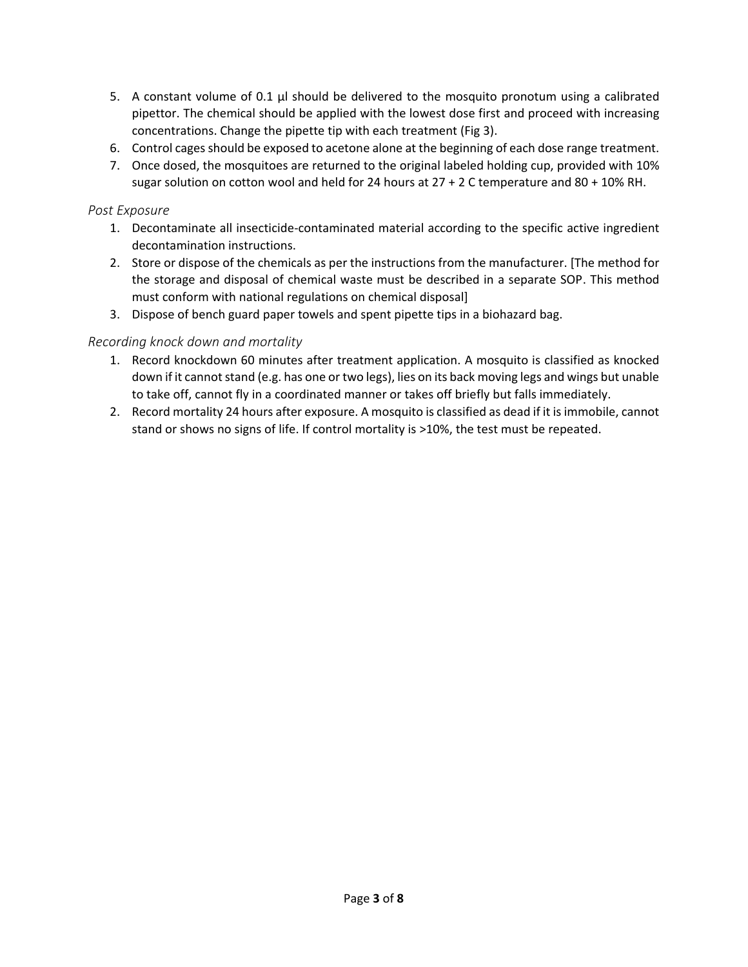- 5. A constant volume of 0.1 μl should be delivered to the mosquito pronotum using a calibrated pipettor. The chemical should be applied with the lowest dose first and proceed with increasing concentrations. Change the pipette tip with each treatment (Fig 3).
- 6. Control cages should be exposed to acetone alone at the beginning of each dose range treatment.
- 7. Once dosed, the mosquitoes are returned to the original labeled holding cup, provided with 10% sugar solution on cotton wool and held for 24 hours at  $27 + 2$  C temperature and 80 + 10% RH.

#### *Post Exposure*

- 1. Decontaminate all insecticide-contaminated material according to the specific active ingredient decontamination instructions.
- 2. Store or dispose of the chemicals as per the instructions from the manufacturer. [The method for the storage and disposal of chemical waste must be described in a separate SOP. This method must conform with national regulations on chemical disposal]
- 3. Dispose of bench guard paper towels and spent pipette tips in a biohazard bag.

#### *Recording knock down and mortality*

- 1. Record knockdown 60 minutes after treatment application. A mosquito is classified as knocked down if it cannot stand (e.g. has one or two legs), lies on its back moving legs and wings but unable to take off, cannot fly in a coordinated manner or takes off briefly but falls immediately.
- 2. Record mortality 24 hours after exposure. A mosquito is classified as dead if it is immobile, cannot stand or shows no signs of life. If control mortality is >10%, the test must be repeated.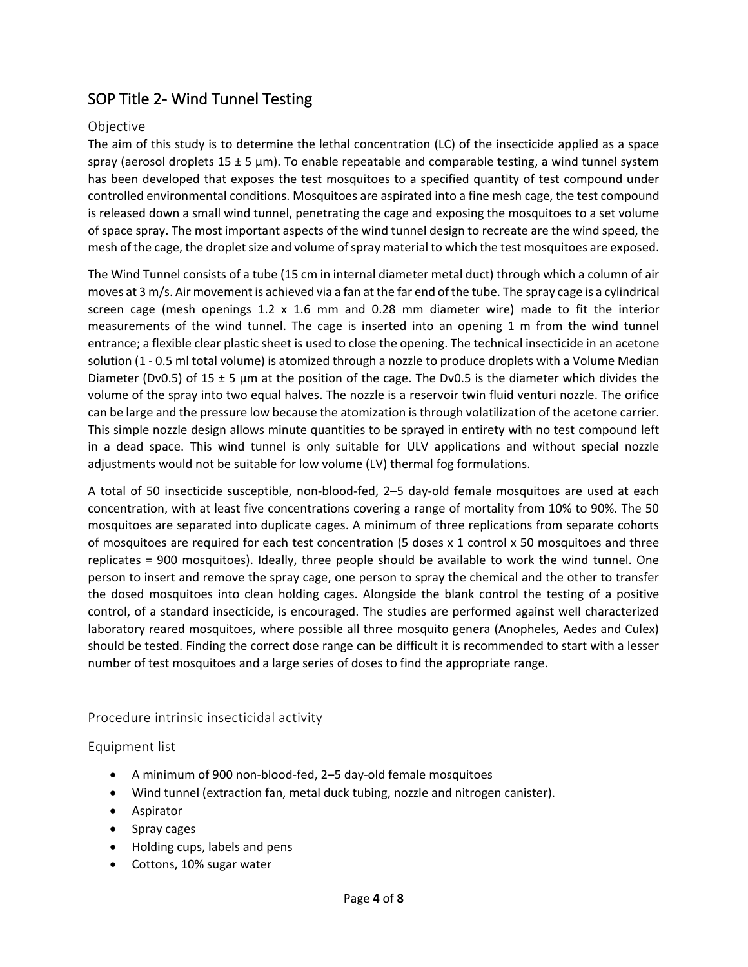## SOP Title 2- Wind Tunnel Testing

#### Objective

The aim of this study is to determine the lethal concentration (LC) of the insecticide applied as a space spray (aerosol droplets 15  $\pm$  5  $\mu$ m). To enable repeatable and comparable testing, a wind tunnel system has been developed that exposes the test mosquitoes to a specified quantity of test compound under controlled environmental conditions. Mosquitoes are aspirated into a fine mesh cage, the test compound is released down a small wind tunnel, penetrating the cage and exposing the mosquitoes to a set volume of space spray. The most important aspects of the wind tunnel design to recreate are the wind speed, the mesh of the cage, the droplet size and volume of spray material to which the test mosquitoes are exposed.

The Wind Tunnel consists of a tube (15 cm in internal diameter metal duct) through which a column of air moves at 3 m/s. Air movement is achieved via a fan at the far end of the tube. The spray cage is a cylindrical screen cage (mesh openings  $1.2 \times 1.6$  mm and  $0.28$  mm diameter wire) made to fit the interior measurements of the wind tunnel. The cage is inserted into an opening 1 m from the wind tunnel entrance; a flexible clear plastic sheet is used to close the opening. The technical insecticide in an acetone solution (1 - 0.5 ml total volume) is atomized through a nozzle to produce droplets with a Volume Median Diameter (Dv0.5) of 15  $\pm$  5  $\mu$ m at the position of the cage. The Dv0.5 is the diameter which divides the volume of the spray into two equal halves. The nozzle is a reservoir twin fluid venturi nozzle. The orifice can be large and the pressure low because the atomization is through volatilization of the acetone carrier. This simple nozzle design allows minute quantities to be sprayed in entirety with no test compound left in a dead space. This wind tunnel is only suitable for ULV applications and without special nozzle adjustments would not be suitable for low volume (LV) thermal fog formulations.

A total of 50 insecticide susceptible, non-blood-fed, 2–5 day-old female mosquitoes are used at each concentration, with at least five concentrations covering a range of mortality from 10% to 90%. The 50 mosquitoes are separated into duplicate cages. A minimum of three replications from separate cohorts of mosquitoes are required for each test concentration (5 doses x 1 control x 50 mosquitoes and three replicates = 900 mosquitoes). Ideally, three people should be available to work the wind tunnel. One person to insert and remove the spray cage, one person to spray the chemical and the other to transfer the dosed mosquitoes into clean holding cages. Alongside the blank control the testing of a positive control, of a standard insecticide, is encouraged. The studies are performed against well characterized laboratory reared mosquitoes, where possible all three mosquito genera (Anopheles, Aedes and Culex) should be tested. Finding the correct dose range can be difficult it is recommended to start with a lesser number of test mosquitoes and a large series of doses to find the appropriate range.

#### Procedure intrinsic insecticidal activity

#### Equipment list

- A minimum of 900 non-blood-fed, 2–5 day-old female mosquitoes
- Wind tunnel (extraction fan, metal duck tubing, nozzle and nitrogen canister).
- Aspirator
- Spray cages
- Holding cups, labels and pens
- Cottons, 10% sugar water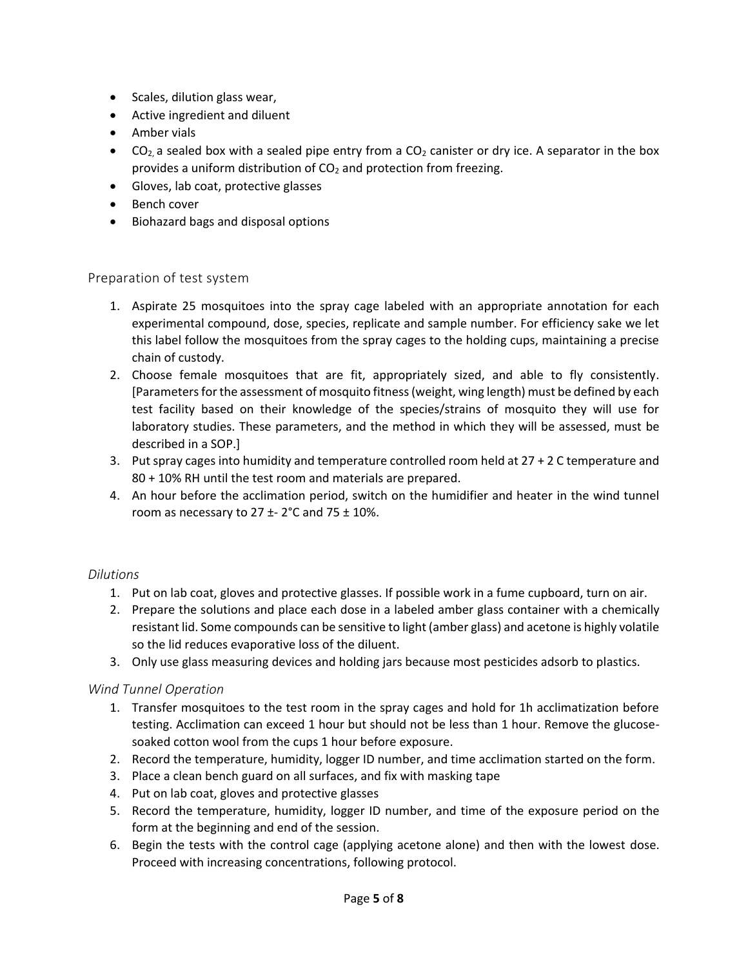- Scales, dilution glass wear,
- Active ingredient and diluent
- Amber vials
- CO<sub>2</sub> a sealed box with a sealed pipe entry from a CO<sub>2</sub> canister or dry ice. A separator in the box provides a uniform distribution of  $CO<sub>2</sub>$  and protection from freezing.
- Gloves, lab coat, protective glasses
- Bench cover
- Biohazard bags and disposal options

#### Preparation of test system

- 1. Aspirate 25 mosquitoes into the spray cage labeled with an appropriate annotation for each experimental compound, dose, species, replicate and sample number. For efficiency sake we let this label follow the mosquitoes from the spray cages to the holding cups, maintaining a precise chain of custody.
- 2. Choose female mosquitoes that are fit, appropriately sized, and able to fly consistently. [Parameters for the assessment of mosquito fitness (weight, wing length) must be defined by each test facility based on their knowledge of the species/strains of mosquito they will use for laboratory studies. These parameters, and the method in which they will be assessed, must be described in a SOP.]
- 3. Put spray cages into humidity and temperature controlled room held at 27 + 2 C temperature and 80 + 10% RH until the test room and materials are prepared.
- 4. An hour before the acclimation period, switch on the humidifier and heater in the wind tunnel room as necessary to  $27 \pm 2^{\circ}$ C and  $75 \pm 10\%$ .

#### *Dilutions*

- 1. Put on lab coat, gloves and protective glasses. If possible work in a fume cupboard, turn on air.
- 2. Prepare the solutions and place each dose in a labeled amber glass container with a chemically resistant lid. Some compounds can be sensitive to light (amber glass) and acetone is highly volatile so the lid reduces evaporative loss of the diluent.
- 3. Only use glass measuring devices and holding jars because most pesticides adsorb to plastics.

#### *Wind Tunnel Operation*

- 1. Transfer mosquitoes to the test room in the spray cages and hold for 1h acclimatization before testing. Acclimation can exceed 1 hour but should not be less than 1 hour. Remove the glucosesoaked cotton wool from the cups 1 hour before exposure.
- 2. Record the temperature, humidity, logger ID number, and time acclimation started on the form.
- 3. Place a clean bench guard on all surfaces, and fix with masking tape
- 4. Put on lab coat, gloves and protective glasses
- 5. Record the temperature, humidity, logger ID number, and time of the exposure period on the form at the beginning and end of the session.
- 6. Begin the tests with the control cage (applying acetone alone) and then with the lowest dose. Proceed with increasing concentrations, following protocol.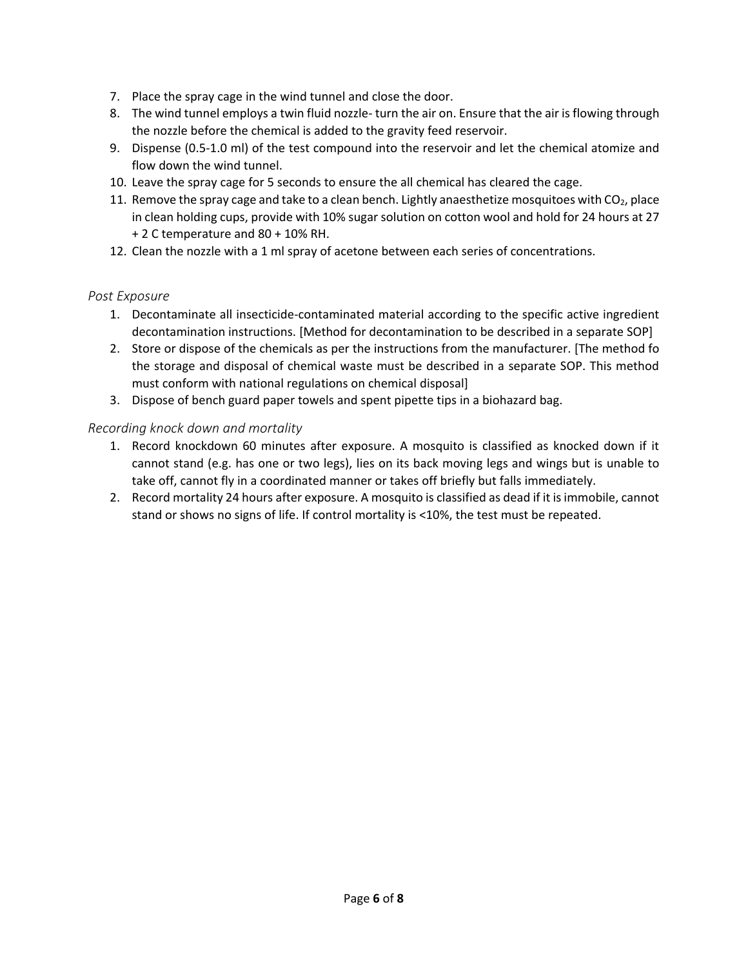- 7. Place the spray cage in the wind tunnel and close the door.
- 8. The wind tunnel employs a twin fluid nozzle- turn the air on. Ensure that the air is flowing through the nozzle before the chemical is added to the gravity feed reservoir.
- 9. Dispense (0.5-1.0 ml) of the test compound into the reservoir and let the chemical atomize and flow down the wind tunnel.
- 10. Leave the spray cage for 5 seconds to ensure the all chemical has cleared the cage.
- 11. Remove the spray cage and take to a clean bench. Lightly anaesthetize mosquitoes with  $CO<sub>2</sub>$ , place in clean holding cups, provide with 10% sugar solution on cotton wool and hold for 24 hours at 27 + 2 C temperature and 80 + 10% RH.
- 12. Clean the nozzle with a 1 ml spray of acetone between each series of concentrations.

#### *Post Exposure*

- 1. Decontaminate all insecticide-contaminated material according to the specific active ingredient decontamination instructions. [Method for decontamination to be described in a separate SOP]
- 2. Store or dispose of the chemicals as per the instructions from the manufacturer. [The method fo the storage and disposal of chemical waste must be described in a separate SOP. This method must conform with national regulations on chemical disposal]
- 3. Dispose of bench guard paper towels and spent pipette tips in a biohazard bag.

#### *Recording knock down and mortality*

- 1. Record knockdown 60 minutes after exposure. A mosquito is classified as knocked down if it cannot stand (e.g. has one or two legs), lies on its back moving legs and wings but is unable to take off, cannot fly in a coordinated manner or takes off briefly but falls immediately.
- 2. Record mortality 24 hours after exposure. A mosquito is classified as dead if it is immobile, cannot stand or shows no signs of life. If control mortality is <10%, the test must be repeated.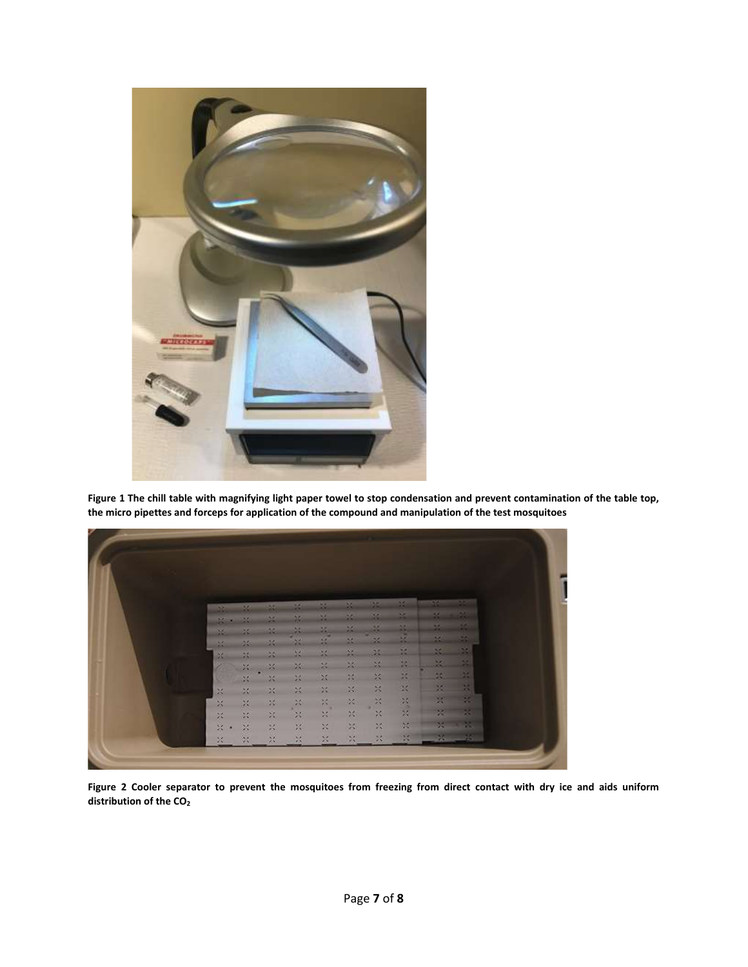

**Figure 1 The chill table with magnifying light paper towel to stop condensation and prevent contamination of the table top, the micro pipettes and forceps for application of the compound and manipulation of the test mosquitoes**

| 36                     | 1250                        | $-25 -$                  | 36                          | 14                          | $\mathbb{M}$              | 1961          | $-16$                  | 92                | P.                   |
|------------------------|-----------------------------|--------------------------|-----------------------------|-----------------------------|---------------------------|---------------|------------------------|-------------------|----------------------|
| 36                     |                             | -26                      | $25 -$                      | 30, 41<br><b>SER</b>        |                           |               |                        | ×                 | $\mathbb{R}^2$       |
| 36                     | 20                          | -26                      | $\frac{1}{\sigma}$          | $\mathcal{M}$               | 話                         | 64            | $\mathcal{M}_{\rm{c}}$ | <b>STA</b>        | œ<br><b>CONTRACT</b> |
| $\sim$                 | 86                          | $\mathcal{M}_0$          | $\mathbb{X}$                | $\frac{\Delta E}{\Delta E}$ | $\mathbb{R}$              | 迳             | $\mathbb{R}^2$         | <b>A</b>          | DA.<br>œ             |
| 24                     | СC.                         | 24                       | 26                          | $\mathcal{R}$               | $\mathcal{M}$             | $\frac{1}{2}$ | P.                     | 10                | <b>Sec.</b>          |
| a.                     | 20                          | $\mathbb{R}$             | X.                          | $\frac{1}{2}$<br>$\infty$   | $\mathbb{Z}^2$<br>$^{26}$ | ×<br>嚣        | 88<br>苯                | <b>DOM:</b><br>25 | 1999<br>$-11$        |
| T.                     | 25.<br>×                    | $\times$<br>$\mathbf{x}$ | 30<br>$\sim$                | -28                         | $\mathbb{M}_+$            | 兴             | $\propto$              | 寰                 | - 22                 |
| $\boldsymbol{\%}$<br>奴 | $\mathbf{X}$                | $\Sigma$                 | $\mathcal{M}$               | $\chi^{\rm c}_{\rm A}$      | 22                        | $\mathbb{M}$  |                        | 冕                 | - 25                 |
| $\mathbb{M}$           | $\mathcal{C}_{\mathcal{C}}$ | $\mathbb{N}$             | $\mathcal{G}_{\mathcal{L}}$ | $\sim$<br>$\mathbb{M}$      | 20%                       | $\times$      |                        | 73                | - 24                 |
| $\mathbb{M}$<br>×      | $\mathcal{L}$               | ă                        | $\mathbb{R}$                | ×                           | $\infty$                  | 摆             | $\mathcal{M}$          | 92                | - 16                 |
| $\bowtie$              | $\mathcal{N}_\mathrm{c}$    | $\frac{1}{\sqrt{2}}$     | $\mathcal{U}_\mathrm{c}$    | 兴                           | $>2$                      | $\mathcal{H}$ | $\rightarrow$          |                   |                      |

**Figure 2 Cooler separator to prevent the mosquitoes from freezing from direct contact with dry ice and aids uniform distribution of the CO2**